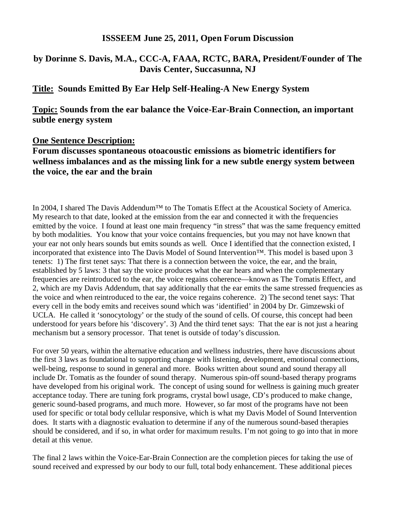#### **ISSSEEM June 25, 2011, Open Forum Discussion**

## **by Dorinne S. Davis, M.A., CCC-A, FAAA, RCTC, BARA, President/Founder of The Davis Center, Succasunna, NJ**

### **Title: Sounds Emitted By Ear Help Self-Healing-A New Energy System**

### **Topic: Sounds from the ear balance the Voice-Ear-Brain Connection, an important subtle energy system**

#### **One Sentence Description:**

# **Forum discusses spontaneous otoacoustic emissions as biometric identifiers for wellness imbalances and as the missing link for a new subtle energy system between the voice, the ear and the brain**

In 2004, I shared The Davis Addendum™ to The Tomatis Effect at the Acoustical Society of America. My research to that date, looked at the emission from the ear and connected it with the frequencies emitted by the voice. I found at least one main frequency "in stress" that was the same frequency emitted by both modalities. You know that your voice contains frequencies, but you may not have known that your ear not only hears sounds but emits sounds as well. Once I identified that the connection existed, I incorporated that existence into The Davis Model of Sound Intervention™. This model is based upon 3 tenets: 1) The first tenet says: That there is a connection between the voice, the ear, and the brain, established by 5 laws: 3 that say the voice produces what the ear hears and when the complementary frequencies are reintroduced to the ear, the voice regains coherence—known as The Tomatis Effect, and 2, which are my Davis Addendum, that say additionally that the ear emits the same stressed frequencies as the voice and when reintroduced to the ear, the voice regains coherence. 2) The second tenet says: That every cell in the body emits and receives sound which was 'identified' in 2004 by Dr. Gimzewski of UCLA. He called it 'sonocytology' or the study of the sound of cells. Of course, this concept had been understood for years before his 'discovery'. 3) And the third tenet says: That the ear is not just a hearing mechanism but a sensory processor. That tenet is outside of today's discussion.

For over 50 years, within the alternative education and wellness industries, there have discussions about the first 3 laws as foundational to supporting change with listening, development, emotional connections, well-being, response to sound in general and more. Books written about sound and sound therapy all include Dr. Tomatis as the founder of sound therapy. Numerous spin-off sound-based therapy programs have developed from his original work. The concept of using sound for wellness is gaining much greater acceptance today. There are tuning fork programs, crystal bowl usage, CD's produced to make change, generic sound-based programs, and much more. However, so far most of the programs have not been used for specific or total body cellular responsive, which is what my Davis Model of Sound Intervention does. It starts with a diagnostic evaluation to determine if any of the numerous sound-based therapies should be considered, and if so, in what order for maximum results. I'm not going to go into that in more detail at this venue.

The final 2 laws within the Voice-Ear-Brain Connection are the completion pieces for taking the use of sound received and expressed by our body to our full, total body enhancement. These additional pieces